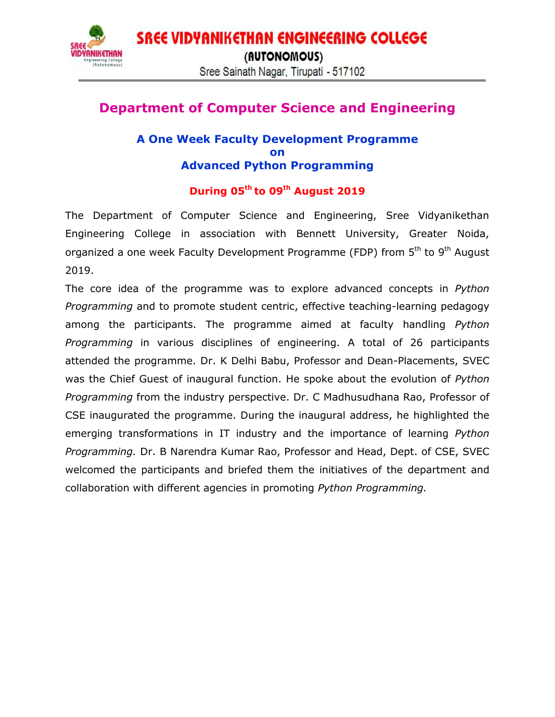**SREE VIDYANIKETHAN ENGINEERING COLLEGE ANIKETHAN** (AUTONOMOUS) Sree Sainath Nagar, Tirupati - 517102

## **Department of Computer Science and Engineering**

## **A One Week Faculty Development Programme on Advanced Python Programming**

## **During 05th to 09th August 2019**

The Department of Computer Science and Engineering, Sree Vidyanikethan Engineering College in association with Bennett University, Greater Noida, organized a one week Faculty Development Programme (FDP) from 5<sup>th</sup> to 9<sup>th</sup> August 2019.

The core idea of the programme was to explore advanced concepts in *Python Programming* and to promote student centric, effective teaching-learning pedagogy among the participants. The programme aimed at faculty handling *Python Programming* in various disciplines of engineering. A total of 26 participants attended the programme. Dr. K Delhi Babu, Professor and Dean-Placements, SVEC was the Chief Guest of inaugural function. He spoke about the evolution of *Python Programming* from the industry perspective. Dr. C Madhusudhana Rao, Professor of CSE inaugurated the programme. During the inaugural address, he highlighted the emerging transformations in IT industry and the importance of learning *Python Programming.* Dr. B Narendra Kumar Rao, Professor and Head, Dept. of CSE, SVEC welcomed the participants and briefed them the initiatives of the department and collaboration with different agencies in promoting *Python Programming.*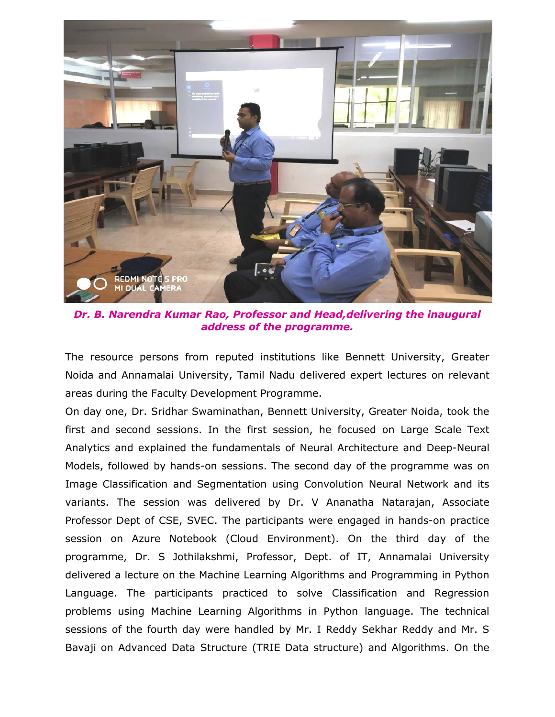

*Dr. B. Narendra Kumar Rao, Professor and Head,delivering the inaugural address of the programme.*

The resource persons from reputed institutions like Bennett University, Greater Noida and Annamalai University, Tamil Nadu delivered expert lectures on relevant areas during the Faculty Development Programme.

On day one, Dr. Sridhar Swaminathan, Bennett University, Greater Noida, took the first and second sessions. In the first session, he focused on Large Scale Text Analytics and explained the fundamentals of Neural Architecture and Deep-Neural Models, followed by hands-on sessions. The second day of the programme was on Image Classification and Segmentation using Convolution Neural Network and its variants. The session was delivered by Dr. V Ananatha Natarajan, Associate Professor Dept of CSE, SVEC. The participants were engaged in hands-on practice session on Azure Notebook (Cloud Environment). On the third day of the programme, Dr. S Jothilakshmi, Professor, Dept. of IT, Annamalai University delivered a lecture on the Machine Learning Algorithms and Programming in Python Language. The participants practiced to solve Classification and Regression problems using Machine Learning Algorithms in Python language. The technical sessions of the fourth day were handled by Mr. I Reddy Sekhar Reddy and Mr. S Bavaji on Advanced Data Structure (TRIE Data structure) and Algorithms. On the